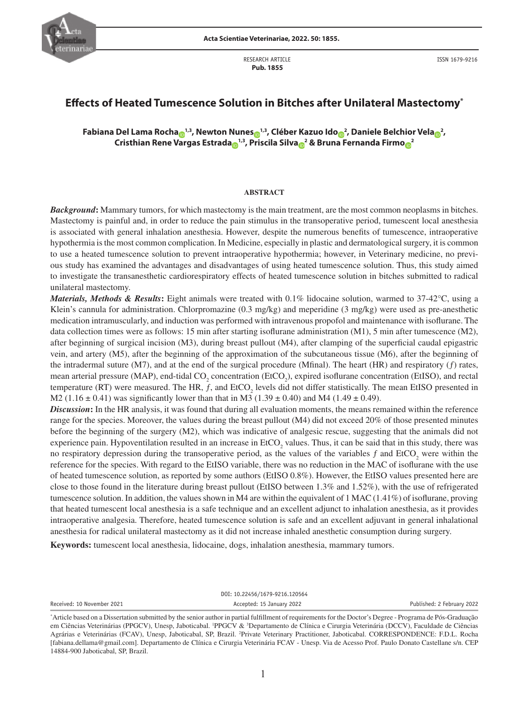

RESEARCH ARTICLE  **Pub. 1855**

# **Effects of Heated Tumescence Solution in Bitches after Unilateral Mastectomy\***

 $\frac{1}{2}$  $\frac{1}{2}$  $\frac{1}{2}$  Fabiana Del Lama Rocha $\frac{1}{2}$ , Newton Nunes $\frac{1}{2}$ , Cléber Kazuo Ido $\frac{2}{2}$ , Daniele Belchior Vela $\frac{2}{2}$ , **Cristhian Rene [Var](https://orcid.org/0000-0002-2553-9593)gas Estrad[a](https://orcid.org/0000-0003-0399-8737) 1,3, [Pris](https://orcid.org/0000-0002-1258-6972)cila Silv[a](https://orcid.org/0000-0001-8279-7604) <sup>2</sup> & Brun[a F](https://orcid.org/0000-0003-2167-6010)ernanda Firm[o](https://orcid.org/0000-0002-9308-8819) <sup>2</sup>**

#### **ABSTRACT**

*Background***:** Mammary tumors, for which mastectomy is the main treatment, are the most common neoplasms in bitches. Mastectomy is painful and, in order to reduce the pain stimulus in the transoperative period, tumescent local anesthesia is associated with general inhalation anesthesia. However, despite the numerous benefits of tumescence, intraoperative hypothermia is the most common complication. In Medicine, especially in plastic and dermatological surgery, it is common to use a heated tumescence solution to prevent intraoperative hypothermia; however, in Veterinary medicine, no previous study has examined the advantages and disadvantages of using heated tumescence solution. Thus, this study aimed to investigate the transanesthetic cardiorespiratory effects of heated tumescence solution in bitches submitted to radical unilateral mastectomy.

*Materials, Methods & Results***:** Eight animals were treated with 0.1% lidocaine solution, warmed to 37-42°C, using a Klein's cannula for administration. Chlorpromazine (0.3 mg/kg) and meperidine (3 mg/kg) were used as pre-anesthetic medication intramuscularly, and induction was performed with intravenous propofol and maintenance with isoflurane. The data collection times were as follows: 15 min after starting isoflurane administration (M1), 5 min after tumescence (M2), after beginning of surgical incision (M3), during breast pullout (M4), after clamping of the superficial caudal epigastric vein, and artery (M5), after the beginning of the approximation of the subcutaneous tissue (M6), after the beginning of the intradermal suture (M7), and at the end of the surgical procedure (Mfinal). The heart (HR) and respiratory (*ƒ*) rates, mean arterial pressure (MAP), end-tidal  $CO_2$  concentration (EtCO<sub>2</sub>), expired isoflurane concentration (EtISO), and rectal temperature (RT) were measured. The HR,  $f$ , and  $ECO<sub>2</sub>$  levels did not differ statistically. The mean EtISO presented in M2 (1.16  $\pm$  0.41) was significantly lower than that in M3 (1.39  $\pm$  0.40) and M4 (1.49  $\pm$  0.49).

*Discussion***:** In the HR analysis, it was found that during all evaluation moments, the means remained within the reference range for the species. Moreover, the values during the breast pullout (M4) did not exceed 20% of those presented minutes before the beginning of the surgery (M2), which was indicative of analgesic rescue, suggesting that the animals did not experience pain. Hypoventilation resulted in an increase in  $E<sub>1</sub>ECO<sub>2</sub>$  values. Thus, it can be said that in this study, there was no respiratory depression during the transoperative period, as the values of the variables  $f$  and  $E<sub>1</sub>CO<sub>2</sub>$  were within the reference for the species. With regard to the EtISO variable, there was no reduction in the MAC of isoflurane with the use of heated tumescence solution, as reported by some authors (EtISO 0.8%). However, the EtISO values presented here are close to those found in the literature during breast pullout (EtISO between 1.3% and 1.52%), with the use of refrigerated tumescence solution. In addition, the values shown in M4 are within the equivalent of 1 MAC (1.41%) of isoflurane, proving that heated tumescent local anesthesia is a safe technique and an excellent adjunct to inhalation anesthesia, as it provides intraoperative analgesia. Therefore, heated tumescence solution is safe and an excellent adjuvant in general inhalational anesthesia for radical unilateral mastectomy as it did not increase inhaled anesthetic consumption during surgery.

**Keywords:** tumescent local anesthesia, lidocaine, dogs, inhalation anesthesia, mammary tumors.

DOI: 10.22456/1679-9216.120564

Received: 10 November 2021 **Accepted: 15 January 2022** Published: 2 February 2022

<sup>\*</sup> Article based on a Dissertation submitted by the senior author in partial fulfillment of requirements for the Doctor's Degree - Programa de Pós-Graduação em Ciências Veterinárias (PPGCV), Unesp, Jaboticabal. <sup>1</sup>PPGCV & <sup>3</sup>Departamento de Clínica e Cirurgia Veterinária (DCCV), Faculdade de Ciências Agrárias e Veterinárias (FCAV), Unesp, Jaboticabal, SP, Brazil. <sup>2</sup>Private Veterinary Practitioner, Jaboticabal. CORRESPONDENCE: F.D.L. Rocha [fabiana.dellama@gmail.com]. Departamento de Clínica e Cirurgia Veterinária FCAV - Unesp. Via de Acesso Prof. Paulo Donato Castellane s/n. CEP 14884-900 Jaboticabal, SP, Brazil.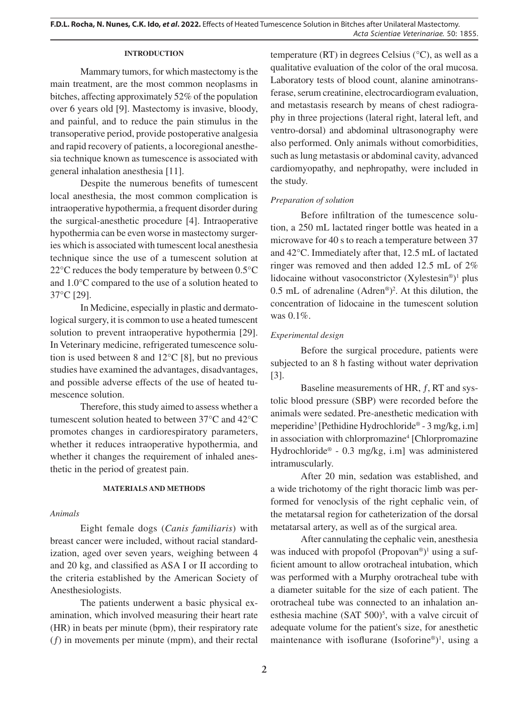### **INTRODUCTION**

Mammary tumors, for which mastectomy is the main treatment, are the most common neoplasms in bitches, affecting approximately 52% of the population over 6 years old [9]. Mastectomy is invasive, bloody, and painful, and to reduce the pain stimulus in the transoperative period, provide postoperative analgesia and rapid recovery of patients, a locoregional anesthesia technique known as tumescence is associated with general inhalation anesthesia [11].

Despite the numerous benefits of tumescent local anesthesia, the most common complication is intraoperative hypothermia, a frequent disorder during the surgical-anesthetic procedure [4]. Intraoperative hypothermia can be even worse in mastectomy surgeries which is associated with tumescent local anesthesia technique since the use of a tumescent solution at 22°C reduces the body temperature by between 0.5°C and 1.0°C compared to the use of a solution heated to 37°C [29].

In Medicine, especially in plastic and dermatological surgery, it is common to use a heated tumescent solution to prevent intraoperative hypothermia [29]. In Veterinary medicine, refrigerated tumescence solution is used between 8 and 12°C [8], but no previous studies have examined the advantages, disadvantages, and possible adverse effects of the use of heated tumescence solution.

Therefore, this study aimed to assess whether a tumescent solution heated to between 37°C and 42°C promotes changes in cardiorespiratory parameters, whether it reduces intraoperative hypothermia, and whether it changes the requirement of inhaled anesthetic in the period of greatest pain.

### **MATERIALS AND METHODS**

### *Animals*

Eight female dogs (*Canis familiaris*) with breast cancer were included, without racial standardization, aged over seven years, weighing between 4 and 20 kg, and classified as ASA I or II according to the criteria established by the American Society of Anesthesiologists.

The patients underwent a basic physical examination, which involved measuring their heart rate (HR) in beats per minute (bpm), their respiratory rate (*ƒ*) in movements per minute (mpm), and their rectal temperature (RT) in degrees Celsius (°C), as well as a qualitative evaluation of the color of the oral mucosa. Laboratory tests of blood count, alanine aminotransferase, serum creatinine, electrocardiogram evaluation, and metastasis research by means of chest radiography in three projections (lateral right, lateral left, and ventro-dorsal) and abdominal ultrasonography were also performed. Only animals without comorbidities, such as lung metastasis or abdominal cavity, advanced cardiomyopathy, and nephropathy, were included in the study.

### *Preparation of solution*

Before infiltration of the tumescence solution, a 250 mL lactated ringer bottle was heated in a microwave for 40 s to reach a temperature between 37 and 42°C. Immediately after that, 12.5 mL of lactated ringer was removed and then added 12.5 mL of 2% lidocaine without vasoconstrictor  $(Xy$ lestesin<sup>®</sup>)<sup>1</sup> plus 0.5 mL of adrenaline  $(Adren^{\circledast})^2$ . At this dilution, the concentration of lidocaine in the tumescent solution was 0.1%.

### *Experimental design*

Before the surgical procedure, patients were subjected to an 8 h fasting without water deprivation [3].

Baseline measurements of HR, *ƒ*, RT and systolic blood pressure (SBP) were recorded before the animals were sedated. Pre-anesthetic medication with meperidine<sup>3</sup> [Pethidine Hydrochloride® - 3 mg/kg, i.m] in association with chlorpromazine<sup>4</sup> [Chlorpromazine Hydrochloride® - 0.3 mg/kg, i.m] was administered intramuscularly.

After 20 min, sedation was established, and a wide trichotomy of the right thoracic limb was performed for venoclysis of the right cephalic vein, of the metatarsal region for catheterization of the dorsal metatarsal artery, as well as of the surgical area.

After cannulating the cephalic vein, anesthesia was induced with propofol (Propovan®)<sup>1</sup> using a sufficient amount to allow orotracheal intubation, which was performed with a Murphy orotracheal tube with a diameter suitable for the size of each patient. The orotracheal tube was connected to an inhalation anesthesia machine  $(SAT 500)^5$ , with a valve circuit of adequate volume for the patient's size, for anesthetic maintenance with isoflurane (Isoforine®)<sup>1</sup>, using a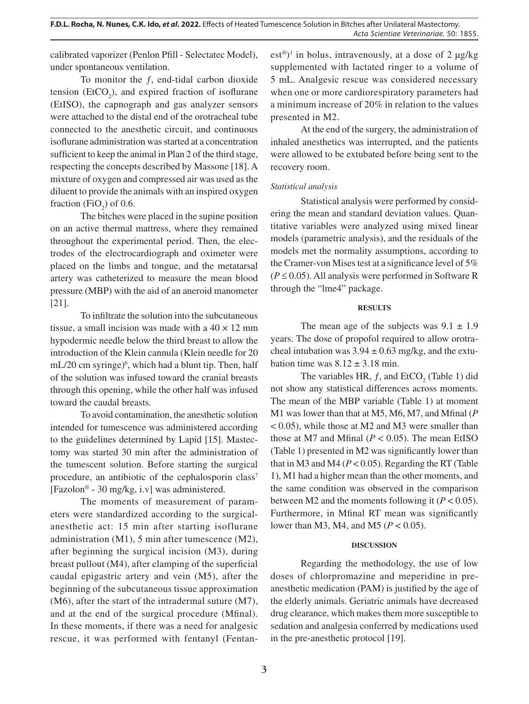calibrated vaporizer (Penlon Pfill - Selectatec Model), under spontaneous ventilation.

To monitor the *ƒ*, end-tidal carbon dioxide tension ( $EtCO<sub>2</sub>$ ), and expired fraction of isoflurane (EtISO), the capnograph and gas analyzer sensors were attached to the distal end of the orotracheal tube connected to the anesthetic circuit, and continuous isoflurane administration was started at a concentration sufficient to keep the animal in Plan 2 of the third stage, respecting the concepts described by Massone [18]. A mixture of oxygen and compressed air was used as the diluent to provide the animals with an inspired oxygen fraction (FiO<sub>2</sub>) of 0.6.

The bitches were placed in the supine position on an active thermal mattress, where they remained throughout the experimental period. Then, the electrodes of the electrocardiograph and oximeter were placed on the limbs and tongue, and the metatarsal artery was catheterized to measure the mean blood pressure (MBP) with the aid of an aneroid manometer [21].

To infiltrate the solution into the subcutaneous tissue, a small incision was made with a  $40 \times 12$  mm hypodermic needle below the third breast to allow the introduction of the Klein cannula (Klein needle for 20 mL/20 cm syringe)<sup>6</sup>, which had a blunt tip. Then, half of the solution was infused toward the cranial breasts through this opening, while the other half was infused toward the caudal breasts.

To avoid contamination, the anesthetic solution intended for tumescence was administered according to the guidelines determined by Lapid [15]. Mastectomy was started 30 min after the administration of the tumescent solution. Before starting the surgical procedure, an antibiotic of the cephalosporin class<sup>7</sup> [Fazolon® - 30 mg/kg, i.v] was administered.

The moments of measurement of parameters were standardized according to the surgicalanesthetic act: 15 min after starting isoflurane administration (M1), 5 min after tumescence (M2), after beginning the surgical incision (M3), during breast pullout (M4), after clamping of the superficial caudal epigastric artery and vein (M5), after the beginning of the subcutaneous tissue approximation (M6), after the start of the intradermal suture (M7), and at the end of the surgical procedure (Mfinal). In these moments, if there was a need for analgesic rescue, it was performed with fentanyl (Fentan-

 $est^{\circledast})^1$  in bolus, intravenously, at a dose of 2 µg/kg supplemented with lactated ringer to a volume of 5 mL. Analgesic rescue was considered necessary when one or more cardiorespiratory parameters had a minimum increase of 20% in relation to the values presented in M2.

At the end of the surgery, the administration of inhaled anesthetics was interrupted, and the patients were allowed to be extubated before being sent to the recovery room.

## *Statistical analysis*

Statistical analysis were performed by considering the mean and standard deviation values. Quantitative variables were analyzed using mixed linear models (parametric analysis), and the residuals of the models met the normality assumptions, according to the Cramer-von Mises test at a significance level of 5%  $(P \le 0.05)$ . All analysis were performed in Software R through the "lme4" package.

### **RESULTS**

The mean age of the subjects was  $9.1 \pm 1.9$ years. The dose of propofol required to allow orotracheal intubation was  $3.94 \pm 0.63$  mg/kg, and the extubation time was  $8.12 \pm 3.18$  min.

The variables HR,  $f$ , and EtCO<sub>2</sub> (Table 1) did not show any statistical differences across moments. The mean of the MBP variable (Table 1) at moment M1 was lower than that at M5, M6, M7, and Mfinal (*P*  < 0.05), while those at M2 and M3 were smaller than those at M7 and Mfinal  $(P < 0.05)$ . The mean EtISO (Table 1) presented in M2 was significantly lower than that in M3 and M4 ( $P < 0.05$ ). Regarding the RT (Table 1), M1 had a higher mean than the other moments, and the same condition was observed in the comparison between M2 and the moments following it  $(P < 0.05)$ . Furthermore, in Mfinal RT mean was significantly lower than M3, M4, and M5 (*P* < 0.05).

## **DISCUSSION**

Regarding the methodology, the use of low doses of chlorpromazine and meperidine in preanesthetic medication (PAM) is justified by the age of the elderly animals. Geriatric animals have decreased drug clearance, which makes them more susceptible to sedation and analgesia conferred by medications used in the pre-anesthetic protocol [19].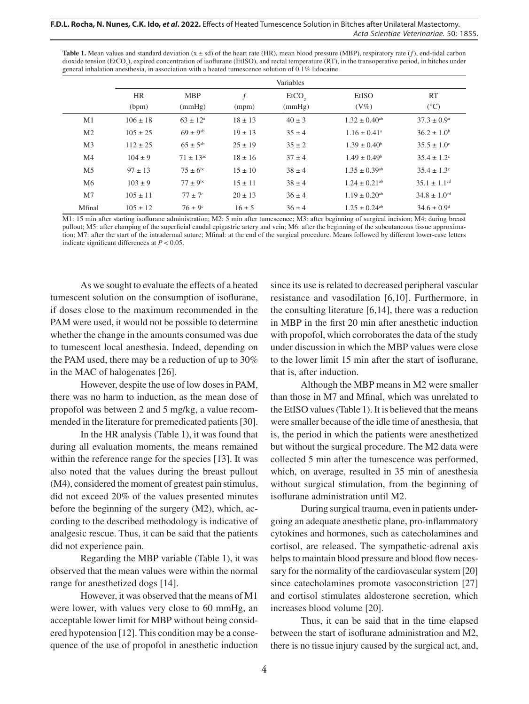#### **F.D.L. Rocha, N. Nunes, C.K. Ido,** *et al***. 2022.** Effects of Heated Tumescence Solution in Bitches after Unilateral Mastectomy. *Acta Scientiae Veterinariae*. 50: 1855.

**Table 1.** Mean values and standard deviation  $(x \pm sd)$  of the heart rate (HR), mean blood pressure (MBP), respiratory rate  $(f)$ , end-tidal carbon dioxide tension (EtCO<sub>2</sub>), expired concentration of isoflurane (EtISO), and rectal temperature (RT), in the transoperative period, in bitches under general inhalation anesthesia, in association with a heated tumescence solution of 0.1% lidocaine.

|                | Variables          |                          |             |                |                               |                              |
|----------------|--------------------|--------------------------|-------------|----------------|-------------------------------|------------------------------|
|                | <b>HR</b><br>(bpm) | <b>MBP</b><br>(mmHg)     | f<br>(mpm)  | EtCO<br>(mmHg) | EtISO<br>$(V\%)$              | <b>RT</b><br>$(^{\circ}C)$   |
| M1             | $106 \pm 18$       | $63 \pm 12^{\circ}$      | $18 \pm 13$ | $40 \pm 3$     | $1.32 \pm 0.40$ <sup>ab</sup> | $37.3 \pm 0.9^{\circ}$       |
| M <sub>2</sub> | $105 \pm 25$       | $69 \pm 9^{ab}$          | $19 \pm 13$ | $35 \pm 4$     | $1.16 \pm 0.41$ <sup>a</sup>  | $36.2 \pm 1.0^b$             |
| M <sub>3</sub> | $112 \pm 25$       | $65 \pm 5^{ab}$          | $25 \pm 19$ | $35 \pm 2$     | $1.39 \pm 0.40^b$             | $35.5 \pm 1.0^{\circ}$       |
| M4             | $104 \pm 9$        | $71 \pm 13^{ac}$         | $18 \pm 16$ | $37 \pm 4$     | $1.49 \pm 0.49$ <sup>b</sup>  | $35.4 \pm 1.2$ <sup>c</sup>  |
| M <sub>5</sub> | $97 \pm 13$        | $75 \pm 6^{\circ}$       | $15 \pm 10$ | $38 \pm 4$     | $1.35 \pm 0.39$ <sup>ab</sup> | $35.4 \pm 1.3^{\circ}$       |
| M6             | $103 \pm 9$        | $77 \pm 9$ <sup>bc</sup> | $15 \pm 11$ | $38 \pm 4$     | $1.24 \pm 0.21$ <sup>ab</sup> | $35.1 \pm 1.1$ <sup>cd</sup> |
| M <sub>7</sub> | $105 \pm 11$       | $77 \pm 7$ °             | $20 \pm 13$ | $36 \pm 4$     | $1.19 \pm 0.20$ <sup>ab</sup> | $34.8 \pm 1.0$ <sup>cd</sup> |
| Mfinal         | $105 \pm 12$       | $76 \pm 9$ <sup>c</sup>  | $16 \pm 5$  | $36 \pm 4$     | $1.25 \pm 0.24$ <sup>ab</sup> | $34.6 \pm 0.9$ <sup>d</sup>  |

M1: 15 min after starting isoflurane administration; M2: 5 min after tumescence; M3: after beginning of surgical incision; M4: during breast pullout; M5: after clamping of the superficial caudal epigastric artery and vein; M6: after the beginning of the subcutaneous tissue approximation; M7: after the start of the intradermal suture; Mfinal: at the end of the surgical procedure. Means followed by different lower-case letters indicate significant differences at *P* < 0.05.

As we sought to evaluate the effects of a heated tumescent solution on the consumption of isoflurane, if doses close to the maximum recommended in the PAM were used, it would not be possible to determine whether the change in the amounts consumed was due to tumescent local anesthesia. Indeed, depending on the PAM used, there may be a reduction of up to 30% in the MAC of halogenates [26].

However, despite the use of low doses in PAM, there was no harm to induction, as the mean dose of propofol was between 2 and 5 mg/kg, a value recommended in the literature for premedicated patients [30].

In the HR analysis (Table 1), it was found that during all evaluation moments, the means remained within the reference range for the species [13]. It was also noted that the values during the breast pullout (M4), considered the moment of greatest pain stimulus, did not exceed 20% of the values presented minutes before the beginning of the surgery (M2), which, according to the described methodology is indicative of analgesic rescue. Thus, it can be said that the patients did not experience pain.

Regarding the MBP variable (Table 1), it was observed that the mean values were within the normal range for anesthetized dogs [14].

However, it was observed that the means of M1 were lower, with values very close to 60 mmHg, an acceptable lower limit for MBP without being considered hypotension [12]. This condition may be a consequence of the use of propofol in anesthetic induction since its use is related to decreased peripheral vascular resistance and vasodilation [6,10]. Furthermore, in the consulting literature [6,14], there was a reduction in MBP in the first 20 min after anesthetic induction with propofol, which corroborates the data of the study under discussion in which the MBP values were close to the lower limit 15 min after the start of isoflurane, that is, after induction.

Although the MBP means in M2 were smaller than those in M7 and Mfinal, which was unrelated to the EtISO values (Table 1). It is believed that the means were smaller because of the idle time of anesthesia, that is, the period in which the patients were anesthetized but without the surgical procedure. The M2 data were collected 5 min after the tumescence was performed, which, on average, resulted in 35 min of anesthesia without surgical stimulation, from the beginning of isoflurane administration until M2.

During surgical trauma, even in patients undergoing an adequate anesthetic plane, pro-inflammatory cytokines and hormones, such as catecholamines and cortisol, are released. The sympathetic-adrenal axis helps to maintain blood pressure and blood flow necessary for the normality of the cardiovascular system [20] since catecholamines promote vasoconstriction [27] and cortisol stimulates aldosterone secretion, which increases blood volume [20].

Thus, it can be said that in the time elapsed between the start of isoflurane administration and M2, there is no tissue injury caused by the surgical act, and,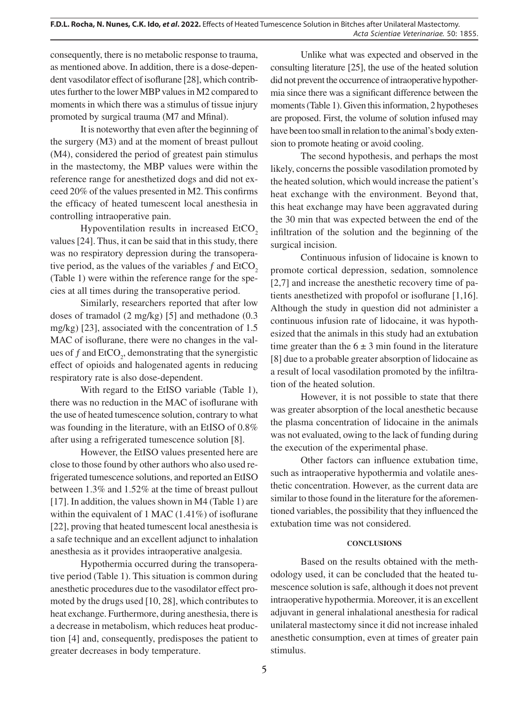consequently, there is no metabolic response to trauma, as mentioned above. In addition, there is a dose-dependent vasodilator effect of isoflurane [28], which contributes further to the lower MBP values in M2 compared to moments in which there was a stimulus of tissue injury promoted by surgical trauma (M7 and Mfinal).

It is noteworthy that even after the beginning of the surgery (M3) and at the moment of breast pullout (M4), considered the period of greatest pain stimulus in the mastectomy, the MBP values were within the reference range for anesthetized dogs and did not exceed 20% of the values presented in M2. This confirms the efficacy of heated tumescent local anesthesia in controlling intraoperative pain.

Hypoventilation results in increased EtCO<sub>2</sub> values [24]. Thus, it can be said that in this study, there was no respiratory depression during the transoperative period, as the values of the variables  $f$  and EtCO<sub>2</sub> (Table 1) were within the reference range for the species at all times during the transoperative period.

Similarly, researchers reported that after low doses of tramadol (2 mg/kg) [5] and methadone (0.3 mg/kg) [23], associated with the concentration of 1.5 MAC of isoflurane, there were no changes in the values of  $f$  and  $ECO_2$ , demonstrating that the synergistic effect of opioids and halogenated agents in reducing respiratory rate is also dose-dependent.

With regard to the EtISO variable (Table 1), there was no reduction in the MAC of isoflurane with the use of heated tumescence solution, contrary to what was founding in the literature, with an EtISO of 0.8% after using a refrigerated tumescence solution [8].

However, the EtISO values presented here are close to those found by other authors who also used refrigerated tumescence solutions, and reported an EtISO between 1.3% and 1.52% at the time of breast pullout [17]. In addition, the values shown in M4 (Table 1) are within the equivalent of 1 MAC (1.41%) of isoflurane [22], proving that heated tumescent local anesthesia is a safe technique and an excellent adjunct to inhalation anesthesia as it provides intraoperative analgesia.

Hypothermia occurred during the transoperative period (Table 1). This situation is common during anesthetic procedures due to the vasodilator effect promoted by the drugs used [10, 28], which contributes to heat exchange. Furthermore, during anesthesia, there is a decrease in metabolism, which reduces heat production [4] and, consequently, predisposes the patient to greater decreases in body temperature.

Unlike what was expected and observed in the consulting literature [25], the use of the heated solution did not prevent the occurrence of intraoperative hypothermia since there was a significant difference between the moments (Table 1). Given this information, 2 hypotheses are proposed. First, the volume of solution infused may have been too small in relation to the animal's body extension to promote heating or avoid cooling.

The second hypothesis, and perhaps the most likely, concerns the possible vasodilation promoted by the heated solution, which would increase the patient's heat exchange with the environment. Beyond that, this heat exchange may have been aggravated during the 30 min that was expected between the end of the infiltration of the solution and the beginning of the surgical incision.

Continuous infusion of lidocaine is known to promote cortical depression, sedation, somnolence [2,7] and increase the anesthetic recovery time of patients anesthetized with propofol or isoflurane [1,16]. Although the study in question did not administer a continuous infusion rate of lidocaine, it was hypothesized that the animals in this study had an extubation time greater than the  $6 \pm 3$  min found in the literature [8] due to a probable greater absorption of lidocaine as a result of local vasodilation promoted by the infiltration of the heated solution.

However, it is not possible to state that there was greater absorption of the local anesthetic because the plasma concentration of lidocaine in the animals was not evaluated, owing to the lack of funding during the execution of the experimental phase.

Other factors can influence extubation time, such as intraoperative hypothermia and volatile anesthetic concentration. However, as the current data are similar to those found in the literature for the aforementioned variables, the possibility that they influenced the extubation time was not considered.

### **CONCLUSIONS**

Based on the results obtained with the methodology used, it can be concluded that the heated tumescence solution is safe, although it does not prevent intraoperative hypothermia. Moreover, it is an excellent adjuvant in general inhalational anesthesia for radical unilateral mastectomy since it did not increase inhaled anesthetic consumption, even at times of greater pain stimulus.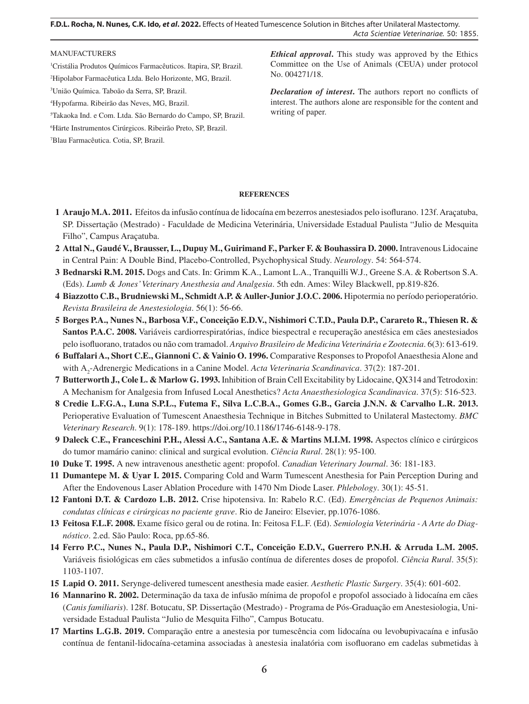**F.D.L. Rocha, N. Nunes, C.K. Ido,** *et al***. 2022.** Effects of Heated Tumescence Solution in Bitches after Unilateral Mastectomy. *Acta Scientiae Veterinariae*. 50: 1855.

#### MANUFACTURERS

1 Cristália Produtos Químicos Farmacêuticos. Itapira, SP, Brazil. 2 Hipolabor Farmacêutica Ltda. Belo Horizonte, MG, Brazil.

3 União Química. Taboão da Serra, SP, Brazil.

4 Hypofarma. Ribeirão das Neves, MG, Brazil.

5 Takaoka Ind. e Com. Ltda. São Bernardo do Campo, SP, Brazil.

6 Härte Instrumentos Cirúrgicos. Ribeirão Preto, SP, Brazil.

7 Blau Farmacêutica. Cotia, SP, Brazil.

*Ethical approval***.** This study was approved by the Ethics Committee on the Use of Animals (CEUA) under protocol No. 004271/18.

*Declaration of interest***.** The authors report no conflicts of interest. The authors alone are responsible for the content and writing of paper.

### **REFERENCES**

- **1 Araujo M.A. 2011.** Efeitos da infusão contínua de lidocaína em bezerros anestesiados pelo isoflurano. 123f. Araçatuba, SP. Dissertação (Mestrado) - Faculdade de Medicina Veterinária, Universidade Estadual Paulista "Julio de Mesquita Filho", Campus Araçatuba.
- **2 Attal N., Gaudé V., Brausser, L., Dupuy M., Guirimand F., Parker F. & Bouhassira D. 2000.** Intravenous Lidocaine in Central Pain: A Double Bind, Placebo-Controlled, Psychophysical Study. *Neurology*. 54: 564-574.
- **3 Bednarski R.M. 2015.** Dogs and Cats. In: Grimm K.A., Lamont L.A., Tranquilli W.J., Greene S.A. & Robertson S.A. (Eds). *Lumb & Jones' Veterinary Anesthesia and Analgesia*. 5th edn. Ames: Wiley Blackwell, pp.819-826.
- **4 Biazzotto C.B., Brudniewski M., Schmidt A.P. & Auller-Junior J.O.C. 2006.** Hipotermia no período perioperatório. *Revista Brasileira de Anestesiologia*. 56(1): 56-66.
- **5 Borges P.A., Nunes N., Barbosa V.F., Conceição E.D.V., Nishimori C.T.D., Paula D.P., Carareto R., Thiesen R. & Santos P.A.C. 2008.** Variáveis cardiorrespiratórias, índice biespectral e recuperação anestésica em cães anestesiados pelo isofluorano, tratados ou não com tramadol. *Arquivo Brasileiro de Medicina Veterinária e Zootecnia*. 6(3): 613-619.
- **6 Buffalari A., Short C.E., Giannoni C. & Vainio O. 1996.** Comparative Responses to Propofol Anaesthesia Alone and with Α<sup>2</sup> -Adrenergic Medications in a Canine Model. *Acta Veterinaria Scandinavica*. 37(2): 187-201.
- **7 Butterworth J., Cole L. & Marlow G. 1993.** Inhibition of Brain Cell Excitability by Lidocaine, QX314 and Tetrodoxin: A Mechanism for Analgesia from Infused Local Anesthetics? *Acta Anaesthesiologica Scandinavica*. 37(5): 516-523.
- **8 Credie L.F.G.A., Luna S.P.L., Futema F., Silva L.C.B.A., Gomes G.B., Garcia J.N.N. & Carvalho L.R. 2013.**  Perioperative Evaluation of Tumescent Anaesthesia Technique in Bitches Submitted to Unilateral Mastectomy. *BMC Veterinary Research*. 9(1): 178-189. https://doi.org/10.1186/1746-6148-9-178.
- **9 Daleck C.E., Franceschini P.H., Alessi A.C., Santana A.E. & Martins M.I.M. 1998.** Aspectos clínico e cirúrgicos do tumor mamário canino: clinical and surgical evolution. *Ciência Rural*. 28(1): 95-100.
- **10 Duke T. 1995.** A new intravenous anesthetic agent: propofol. *Canadian Veterinary Journal*. 36: 181-183.
- **11 Dumantepe M. & Uyar I. 2015.** Comparing Cold and Warm Tumescent Anesthesia for Pain Perception During and After the Endovenous Laser Ablation Procedure with 1470 Nm Diode Laser. *Phlebology*. 30(1): 45-51.
- **12 Fantoni D.T. & Cardozo L.B. 2012.** Crise hipotensiva. In: Rabelo R.C. (Ed). *Emergências de Pequenos Animais: condutas clínicas e cirúrgicas no paciente grave*. Rio de Janeiro: Elsevier, pp.1076-1086.
- **13 Feitosa F.L.F. 2008.** Exame físico geral ou de rotina. In: Feitosa F.L.F. (Ed). *Semiologia Veterinária A Arte do Diagnóstico*. 2.ed. São Paulo: Roca, pp.65-86.
- **14 Ferro P.C., Nunes N., Paula D.P., Nishimori C.T., Conceição E.D.V., Guerrero P.N.H. & Arruda L.M. 2005.**  Variáveis fisiológicas em cães submetidos a infusão contínua de diferentes doses de propofol. *Ciência Rural*. 35(5): 1103-1107.
- **15 Lapid O. 2011.** Serynge-delivered tumescent anesthesia made easier. *Aesthetic Plastic Surgery*. 35(4): 601-602.
- **16 Mannarino R. 2002.** Determinação da taxa de infusão mínima de propofol e propofol associado à lidocaína em cães (*Canis familiaris*). 128f. Botucatu, SP. Dissertação (Mestrado) - Programa de Pós-Graduação em Anestesiologia, Universidade Estadual Paulista "Julio de Mesquita Filho", Campus Botucatu.
- **17 Martins L.G.B. 2019.** Comparação entre a anestesia por tumescência com lidocaína ou levobupivacaína e infusão contínua de fentanil-lidocaína-cetamina associadas à anestesia inalatória com isofluorano em cadelas submetidas à